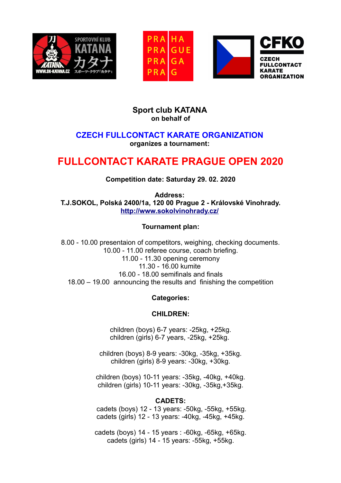





# **Sport club KATANA on behalf of**

# **CZECH FULLCONTACT KARATE ORGANIZATION organizes a tournament:**

# **FULLCONTACT KARATE PRAGUE OPEN 2020**

# **Competition date: Saturday 29. 02. 2020**

**Address: T.J.SOKOL, Polská 2400/1a, 120 00 Prague 2 - Královské Vinohrady. <http://www.sokolvinohrady.cz/>**

### **Tournament plan:**

8.00 - 10.00 presentaion of competitors, weighing, checking documents. 10.00 - 11.00 referee course, coach briefing. 11.00 - 11.30 opening ceremony 11.30 - 16.00 kumite 16.00 - 18.00 semifinals and finals 18.00 – 19.00 announcing the results and finishing the competition

# **Categories:**

#### **CHILDREN:**

children (boys) 6-7 years: -25kg, +25kg. children (girls) 6-7 years, -25kg, +25kg.

children (boys) 8-9 years: -30kg, -35kg, +35kg. children (girls) 8-9 years: -30kg, +30kg.

children (boys) 10-11 years: -35kg, -40kg, +40kg. children (girls) 10-11 years: -30kg, -35kg,+35kg.

#### **CADETS:**

cadets (boys) 12 - 13 years: -50kg, -55kg, +55kg. cadets (girls) 12 - 13 years: -40kg, -45kg, +45kg.

cadets (boys) 14 - 15 years : -60kg, -65kg, +65kg. cadets (girls) 14 - 15 years: -55kg, +55kg.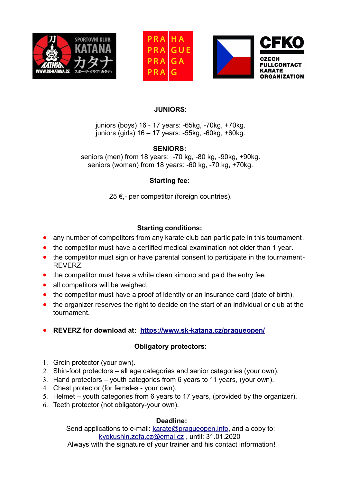





#### **JUNIORS:**

juniors (boys) 16 - 17 years: -65kg, -70kg, +70kg. juniors (girls) 16 – 17 years: -55kg, -60kg, +60kg.

### **SENIORS:**

seniors (men) from 18 years: -70 kg, -80 kg, -90kg, +90kg. seniors (woman) from 18 years: -60 kg, -70 kg, +70kg.

# **Starting fee:**

25 €,- per competitor (foreign countries).

# **Starting conditions:**

- any number of competitors from any karate club can participate in this tournament.
- the competitor must have a certified medical examination not older than 1 year.
- the competitor must sign or have parental consent to participate in the tournament-REVERZ.
- the competitor must have a white clean kimono and paid the entry fee.
- all competitors will be weighed.
- the competitor must have a proof of identity or an insurance card (date of birth).
- the organizer reserves the right to decide on the start of an individual or club at the tournament.
- **REVERZ for download at: <https://www.sk-katana.cz/pragueopen/>**

# **Obligatory protectors:**

- 1. Groin protector (your own).
- 2. Shin-foot protectors all age categories and senior categories (your own).
- 3. Hand protectors youth categories from 6 years to 11 years, (your own).
- 4. Chest protector (for females your own).
- 5. Helmet youth categories from 6 years to 17 years, (provided by the organizer).
- 6. Teeth protector (not obligatory-your own).

#### **Deadline:**

Send applications to e-mail: [karate@pragueopen.info](mailto:karate@pragueopen.info), and a copy to: [kyokushin.zofa.cz@emal.cz](mailto:kyokushin.zofa.cz@emal.cz) , until: 31.01.2020

Always with the signature of your trainer and his contact information!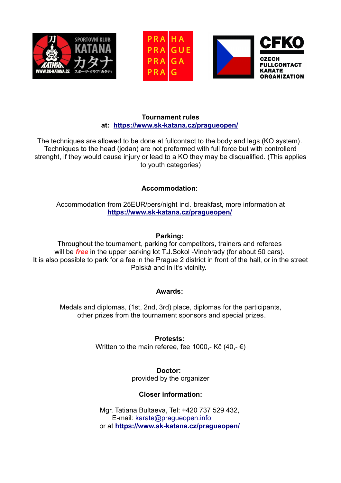





#### **Tournament rules at: <https://www.sk-katana.cz/pragueopen/>**

The techniques are allowed to be done at fullcontact to the body and legs (KO system). Techniques to the head (jodan) are not preformed with full force but with controllerd strenght, if they would cause injury or lead to a KO they may be disqualified. (This applies to youth categories)

### **Accommodation:**

Accommodation from 25EUR/pers/night incl. breakfast, more information at **<https://www.sk-katana.cz/pragueopen/>**

#### **Parking:**

Throughout the tournament, parking for competitors, trainers and referees will be *free* in the upper parking lot T.J.Sokol -Vinohrady (for about 50 cars). It is also possible to park for a fee in the Prague 2 district in front of the hall, or in the street Polská and in it's vicinity.

#### **Awards:**

Medals and diplomas, (1st, 2nd, 3rd) place, diplomas for the participants, other prizes from the tournament sponsors and special prizes.

> **Protests:** Written to the main referee, fee 1000,- Kč  $(40, -10)$

> > **Doctor:**  provided by the organizer

# **Closer information:**

Mgr. Tatiana Bultaeva, Tel: +420 737 529 432, E-mail: [karate@pragueopen.info](mailto:karate@pragueopen.info) or at **<https://www.sk-katana.cz/pragueopen/>**